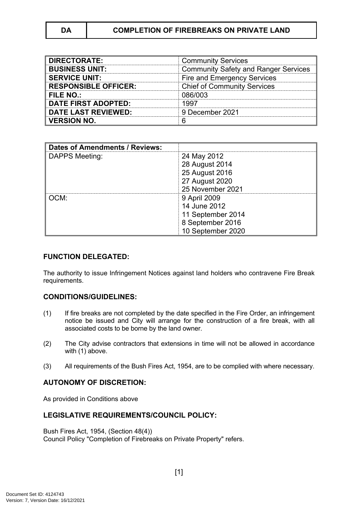| <b>DIRECTORATE:</b>         | <b>Community Services</b>                   |
|-----------------------------|---------------------------------------------|
| <b>BUSINESS UNIT:</b>       | <b>Community Safety and Ranger Services</b> |
| <b>SERVICE UNIT:</b>        | Fire and Emergency Services                 |
| <b>RESPONSIBLE OFFICER:</b> | <b>Chief of Community Services</b>          |
| FILE NO.:                   | 086/003                                     |
| <b>DATE FIRST ADOPTED:</b>  | 1997                                        |
| <b>DATE LAST REVIEWED:</b>  | 9 December 2021                             |
| <b>VERSION NO.</b>          |                                             |

| <b>Dates of Amendments / Reviews:</b> |                   |
|---------------------------------------|-------------------|
| <b>DAPPS Meeting:</b>                 | 24 May 2012       |
|                                       | 28 August 2014    |
|                                       | 25 August 2016    |
|                                       | 27 August 2020    |
|                                       | 25 November 2021  |
| CM:                                   | 9 April 2009      |
|                                       | 14 June 2012      |
|                                       | 11 September 2014 |
|                                       | 8 September 2016  |
|                                       | 10 September 2020 |

### **FUNCTION DELEGATED:**

The authority to issue Infringement Notices against land holders who contravene Fire Break requirements.

### **CONDITIONS/GUIDELINES:**

- (1) If fire breaks are not completed by the date specified in the Fire Order, an infringement notice be issued and City will arrange for the construction of a fire break, with all associated costs to be borne by the land owner.
- (2) The City advise contractors that extensions in time will not be allowed in accordance with (1) above.
- (3) All requirements of the Bush Fires Act, 1954, are to be complied with where necessary.

# **AUTONOMY OF DISCRETION:**

As provided in Conditions above

# **LEGISLATIVE REQUIREMENTS/COUNCIL POLICY:**

Bush Fires Act, 1954, (Section 48(4)) Council Policy "Completion of Firebreaks on Private Property" refers.